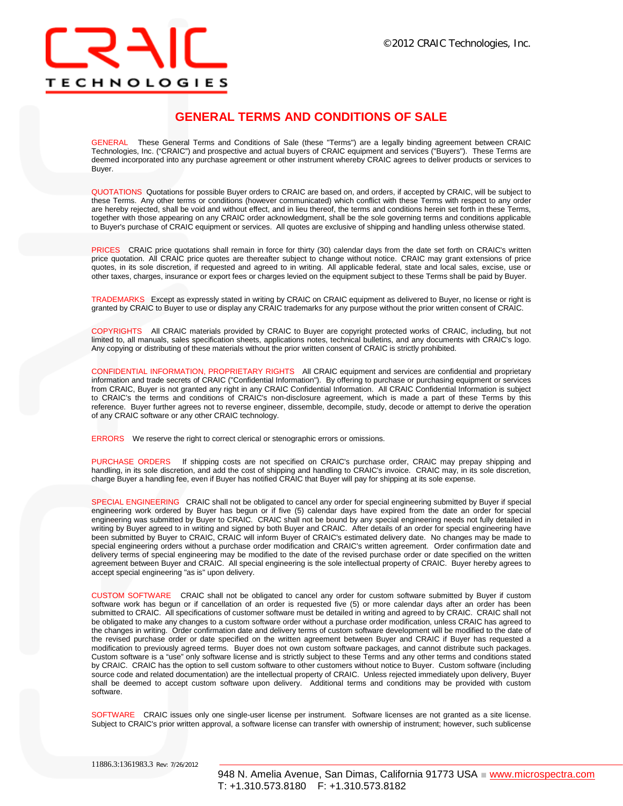# **TECHNOLOGIES**

## **GENERAL TERMS AND CONDITIONS OF SALE**

GENERAL These General Terms and Conditions of Sale (these "Terms") are a legally binding agreement between CRAIC Technologies, Inc. ("CRAIC") and prospective and actual buyers of CRAIC equipment and services ("Buyers"). These Terms are deemed incorporated into any purchase agreement or other instrument whereby CRAIC agrees to deliver products or services to Buyer.

QUOTATIONS Quotations for possible Buyer orders to CRAIC are based on, and orders, if accepted by CRAIC, will be subject to these Terms. Any other terms or conditions (however communicated) which conflict with these Terms with respect to any order are hereby rejected, shall be void and without effect, and in lieu thereof, the terms and conditions herein set forth in these Terms, together with those appearing on any CRAIC order acknowledgment, shall be the sole governing terms and conditions applicable to Buyer's purchase of CRAIC equipment or services. All quotes are exclusive of shipping and handling unless otherwise stated.

PRICES CRAIC price quotations shall remain in force for thirty (30) calendar days from the date set forth on CRAIC's written price quotation. All CRAIC price quotes are thereafter subject to change without notice. CRAIC may grant extensions of price quotes, in its sole discretion, if requested and agreed to in writing. All applicable federal, state and local sales, excise, use or other taxes, charges, insurance or export fees or charges levied on the equipment subject to these Terms shall be paid by Buyer.

TRADEMARKS Except as expressly stated in writing by CRAIC on CRAIC equipment as delivered to Buyer, no license or right is granted by CRAIC to Buyer to use or display any CRAIC trademarks for any purpose without the prior written consent of CRAIC.

COPYRIGHTS All CRAIC materials provided by CRAIC to Buyer are copyright protected works of CRAIC, including, but not limited to, all manuals, sales specification sheets, applications notes, technical bulletins, and any documents with CRAIC's logo. Any copying or distributing of these materials without the prior written consent of CRAIC is strictly prohibited.

CONFIDENTIAL INFORMATION, PROPRIETARY RIGHTS All CRAIC equipment and services are confidential and proprietary information and trade secrets of CRAIC ("Confidential Information"). By offering to purchase or purchasing equipment or services from CRAIC, Buyer is not granted any right in any CRAIC Confidential Information. All CRAIC Confidential Information is subject to CRAIC's the terms and conditions of CRAIC's non-disclosure agreement, which is made a part of these Terms by this reference. Buyer further agrees not to reverse engineer, dissemble, decompile, study, decode or attempt to derive the operation of any CRAIC software or any other CRAIC technology.

ERRORS We reserve the right to correct clerical or stenographic errors or omissions.

PURCHASE ORDERS If shipping costs are not specified on CRAIC's purchase order, CRAIC may prepay shipping and handling, in its sole discretion, and add the cost of shipping and handling to CRAIC's invoice. CRAIC may, in its sole discretion, charge Buyer a handling fee, even if Buyer has notified CRAIC that Buyer will pay for shipping at its sole expense.

SPECIAL ENGINEERING CRAIC shall not be obligated to cancel any order for special engineering submitted by Buyer if special engineering work ordered by Buyer has begun or if five (5) calendar days have expired from the date an order for special engineering was submitted by Buyer to CRAIC. CRAIC shall not be bound by any special engineering needs not fully detailed in writing by Buyer agreed to in writing and signed by both Buyer and CRAIC. After details of an order for special engineering have been submitted by Buyer to CRAIC, CRAIC will inform Buyer of CRAIC's estimated delivery date. No changes may be made to special engineering orders without a purchase order modification and CRAIC's written agreement. Order confirmation date and delivery terms of special engineering may be modified to the date of the revised purchase order or date specified on the written agreement between Buyer and CRAIC. All special engineering is the sole intellectual property of CRAIC. Buyer hereby agrees to accept special engineering "as is" upon delivery.

CUSTOM SOFTWARE CRAIC shall not be obligated to cancel any order for custom software submitted by Buyer if custom software work has begun or if cancellation of an order is requested five (5) or more calendar days after an order has been submitted to CRAIC. All specifications of customer software must be detailed in writing and agreed to by CRAIC. CRAIC shall not be obligated to make any changes to a custom software order without a purchase order modification, unless CRAIC has agreed to the changes in writing. Order confirmation date and delivery terms of custom software development will be modified to the date of the revised purchase order or date specified on the written agreement between Buyer and CRAIC if Buyer has requested a modification to previously agreed terms. Buyer does not own custom software packages, and cannot distribute such packages. Custom software is a "use" only software license and is strictly subject to these Terms and any other terms and conditions stated by CRAIC. CRAIC has the option to sell custom software to other customers without notice to Buyer. Custom software (including source code and related documentation) are the intellectual property of CRAIC. Unless rejected immediately upon delivery, Buyer shall be deemed to accept custom software upon delivery. Additional terms and conditions may be provided with custom software.

SOFTWARE CRAIC issues only one single-user license per instrument. Software licenses are not granted as a site license. Subject to CRAIC's prior written approval, a software license can transfer with ownership of instrument; however, such sublicense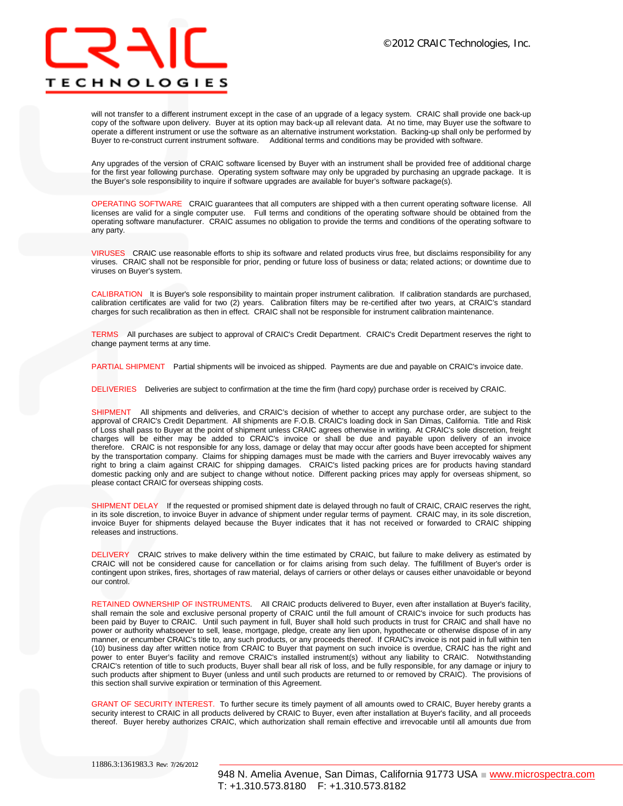## **TECHNOLOGIES**

will not transfer to a different instrument except in the case of an upgrade of a legacy system. CRAIC shall provide one back-up copy of the software upon delivery. Buyer at its option may back-up all relevant data. At no time, may Buyer use the software to operate a different instrument or use the software as an alternative instrument workstation. Backing-up shall only be performed by Buyer to re-construct current instrument software. Additional terms and conditions may be provided with software.

Any upgrades of the version of CRAIC software licensed by Buyer with an instrument shall be provided free of additional charge for the first year following purchase. Operating system software may only be upgraded by purchasing an upgrade package. It is the Buyer's sole responsibility to inquire if software upgrades are available for buyer's software package(s).

OPERATING SOFTWARE CRAIC guarantees that all computers are shipped with a then current operating software license. All licenses are valid for a single computer use. Full terms and conditions of the operating software should be obtained from the operating software manufacturer. CRAIC assumes no obligation to provide the terms and conditions of the operating software to any party.

VIRUSES CRAIC use reasonable efforts to ship its software and related products virus free, but disclaims responsibility for any viruses. CRAIC shall not be responsible for prior, pending or future loss of business or data; related actions; or downtime due to viruses on Buyer's system.

CALIBRATION It is Buyer's sole responsibility to maintain proper instrument calibration. If calibration standards are purchased, calibration certificates are valid for two (2) years. Calibration filters may be re-certified after two years, at CRAIC's standard charges for such recalibration as then in effect. CRAIC shall not be responsible for instrument calibration maintenance.

TERMS All purchases are subject to approval of CRAIC's Credit Department. CRAIC's Credit Department reserves the right to change payment terms at any time.

PARTIAL SHIPMENT Partial shipments will be invoiced as shipped. Payments are due and payable on CRAIC's invoice date.

DELIVERIES Deliveries are subject to confirmation at the time the firm (hard copy) purchase order is received by CRAIC.

SHIPMENT All shipments and deliveries, and CRAIC's decision of whether to accept any purchase order, are subject to the approval of CRAIC's Credit Department. All shipments are F.O.B. CRAIC's loading dock in San Dimas, California. Title and Risk of Loss shall pass to Buyer at the point of shipment unless CRAIC agrees otherwise in writing. At CRAIC's sole discretion, freight charges will be either may be added to CRAIC's invoice or shall be due and payable upon delivery of an invoice therefore. CRAIC is not responsible for any loss, damage or delay that may occur after goods have been accepted for shipment by the transportation company. Claims for shipping damages must be made with the carriers and Buyer irrevocably waives any right to bring a claim against CRAIC for shipping damages. CRAIC's listed packing prices are for products having standard domestic packing only and are subject to change without notice. Different packing prices may apply for overseas shipment, so please contact CRAIC for overseas shipping costs.

SHIPMENT DELAY If the requested or promised shipment date is delayed through no fault of CRAIC, CRAIC reserves the right, in its sole discretion, to invoice Buyer in advance of shipment under regular terms of payment. CRAIC may, in its sole discretion, invoice Buyer for shipments delayed because the Buyer indicates that it has not received or forwarded to CRAIC shipping releases and instructions.

DELIVERY CRAIC strives to make delivery within the time estimated by CRAIC, but failure to make delivery as estimated by CRAIC will not be considered cause for cancellation or for claims arising from such delay. The fulfillment of Buyer's order is contingent upon strikes, fires, shortages of raw material, delays of carriers or other delays or causes either unavoidable or beyond our control.

RETAINED OWNERSHIP OF INSTRUMENTS. All CRAIC products delivered to Buyer, even after installation at Buyer's facility, shall remain the sole and exclusive personal property of CRAIC until the full amount of CRAIC's invoice for such products has been paid by Buyer to CRAIC. Until such payment in full, Buyer shall hold such products in trust for CRAIC and shall have no power or authority whatsoever to sell, lease, mortgage, pledge, create any lien upon, hypothecate or otherwise dispose of in any manner, or encumber CRAIC's title to, any such products, or any proceeds thereof. If CRAIC's invoice is not paid in full within ten (10) business day after written notice from CRAIC to Buyer that payment on such invoice is overdue, CRAIC has the right and power to enter Buyer's facility and remove CRAIC's installed instrument(s) without any liability to CRAIC. Notwithstanding CRAIC's retention of title to such products, Buyer shall bear all risk of loss, and be fully responsible, for any damage or injury to such products after shipment to Buyer (unless and until such products are returned to or removed by CRAIC). The provisions of this section shall survive expiration or termination of this Agreement.

GRANT OF SECURITY INTEREST. To further secure its timely payment of all amounts owed to CRAIC, Buyer hereby grants a security interest to CRAIC in all products delivered by CRAIC to Buyer, even after installation at Buyer's facility, and all proceeds thereof. Buyer hereby authorizes CRAIC, which authorization shall remain effective and irrevocable until all amounts due from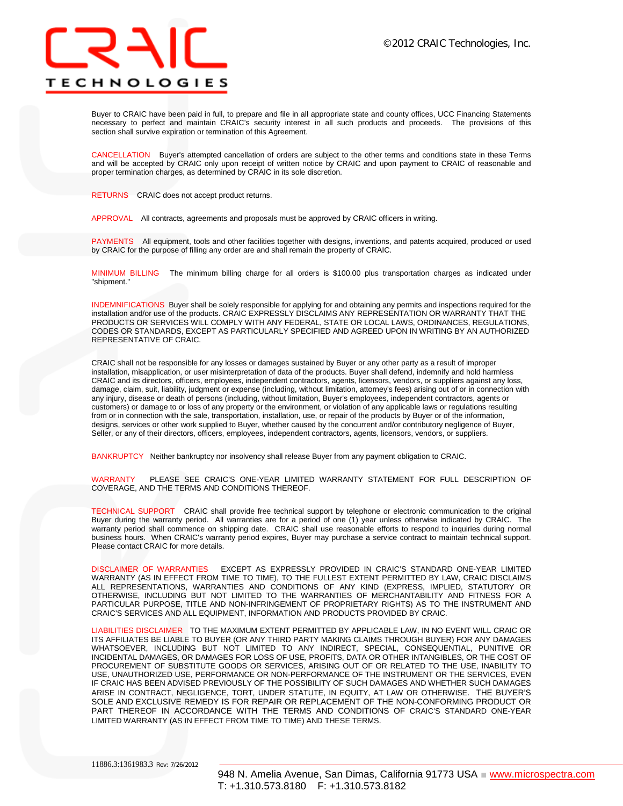

Buyer to CRAIC have been paid in full, to prepare and file in all appropriate state and county offices, UCC Financing Statements necessary to perfect and maintain CRAIC's security interest in all such products and proceeds. The provisions of this section shall survive expiration or termination of this Agreement.

CANCELLATION Buyer's attempted cancellation of orders are subject to the other terms and conditions state in these Terms and will be accepted by CRAIC only upon receipt of written notice by CRAIC and upon payment to CRAIC of reasonable and proper termination charges, as determined by CRAIC in its sole discretion.

RETURNS CRAIC does not accept product returns.

APPROVAL All contracts, agreements and proposals must be approved by CRAIC officers in writing.

PAYMENTS All equipment, tools and other facilities together with designs, inventions, and patents acquired, produced or used by CRAIC for the purpose of filling any order are and shall remain the property of CRAIC.

MINIMUM BILLING The minimum billing charge for all orders is \$100.00 plus transportation charges as indicated under "shipment."

INDEMNIFICATIONS Buyer shall be solely responsible for applying for and obtaining any permits and inspections required for the installation and/or use of the products. CRAIC EXPRESSLY DISCLAIMS ANY REPRESENTATION OR WARRANTY THAT THE PRODUCTS OR SERVICES WILL COMPLY WITH ANY FEDERAL, STATE OR LOCAL LAWS, ORDINANCES, REGULATIONS, CODES OR STANDARDS, EXCEPT AS PARTICULARLY SPECIFIED AND AGREED UPON IN WRITING BY AN AUTHORIZED REPRESENTATIVE OF CRAIC.

CRAIC shall not be responsible for any losses or damages sustained by Buyer or any other party as a result of improper installation, misapplication, or user misinterpretation of data of the products. Buyer shall defend, indemnify and hold harmless CRAIC and its directors, officers, employees, independent contractors, agents, licensors, vendors, or suppliers against any loss, damage, claim, suit, liability, judgment or expense (including, without limitation, attorney's fees) arising out of or in connection with any injury, disease or death of persons (including, without limitation, Buyer's employees, independent contractors, agents or customers) or damage to or loss of any property or the environment, or violation of any applicable laws or regulations resulting from or in connection with the sale, transportation, installation, use, or repair of the products by Buyer or of the information, designs, services or other work supplied to Buyer, whether caused by the concurrent and/or contributory negligence of Buyer, Seller, or any of their directors, officers, employees, independent contractors, agents, licensors, vendors, or suppliers.

BANKRUPTCY Neither bankruptcy nor insolvency shall release Buyer from any payment obligation to CRAIC.

WARRANTY PLEASE SEE CRAIC'S ONE-YEAR LIMITED WARRANTY STATEMENT FOR FULL DESCRIPTION OF COVERAGE, AND THE TERMS AND CONDITIONS THEREOF.

TECHNICAL SUPPORT CRAIC shall provide free technical support by telephone or electronic communication to the original Buyer during the warranty period. All warranties are for a period of one (1) year unless otherwise indicated by CRAIC. The warranty period shall commence on shipping date. CRAIC shall use reasonable efforts to respond to inquiries during normal business hours. When CRAIC's warranty period expires, Buyer may purchase a service contract to maintain technical support. Please contact CRAIC for more details.

DISCLAIMER OF WARRANTIESEXCEPT AS EXPRESSLY PROVIDED IN CRAIC'S STANDARD ONE-YEAR LIMITED WARRANTY (AS IN EFFECT FROM TIME TO TIME), TO THE FULLEST EXTENT PERMITTED BY LAW, CRAIC DISCLAIMS ALL REPRESENTATIONS, WARRANTIES AND CONDITIONS OF ANY KIND (EXPRESS, IMPLIED, STATUTORY OR OTHERWISE, INCLUDING BUT NOT LIMITED TO THE WARRANTIES OF MERCHANTABILITY AND FITNESS FOR A PARTICULAR PURPOSE, TITLE AND NON-INFRINGEMENT OF PROPRIETARY RIGHTS) AS TO THE INSTRUMENT AND CRAIC'S SERVICES AND ALL EQUIPMENT, INFORMATION AND PRODUCTS PROVIDED BY CRAIC.

LIABILITIES DISCLAIMERTO THE MAXIMUM EXTENT PERMITTED BY APPLICABLE LAW, IN NO EVENT WILL CRAIC OR ITS AFFILIATES BE LIABLE TO BUYER (OR ANY THIRD PARTY MAKING CLAIMS THROUGH BUYER) FOR ANY DAMAGES WHATSOEVER, INCLUDING BUT NOT LIMITED TO ANY INDIRECT, SPECIAL, CONSEQUENTIAL, PUNITIVE OR INCIDENTAL DAMAGES, OR DAMAGES FOR LOSS OF USE, PROFITS, DATA OR OTHER INTANGIBLES, OR THE COST OF PROCUREMENT OF SUBSTITUTE GOODS OR SERVICES, ARISING OUT OF OR RELATED TO THE USE, INABILITY TO USE, UNAUTHORIZED USE, PERFORMANCE OR NON-PERFORMANCE OF THE INSTRUMENT OR THE SERVICES, EVEN IF CRAIC HAS BEEN ADVISED PREVIOUSLY OF THE POSSIBILITY OF SUCH DAMAGES AND WHETHER SUCH DAMAGES ARISE IN CONTRACT, NEGLIGENCE, TORT, UNDER STATUTE, IN EQUITY, AT LAW OR OTHERWISE. THE BUYER'S SOLE AND EXCLUSIVE REMEDY IS FOR REPAIR OR REPLACEMENT OF THE NON-CONFORMING PRODUCT OR PART THEREOF IN ACCORDANCE WITH THE TERMS AND CONDITIONS OF CRAIC'S STANDARD ONE-YEAR LIMITED WARRANTY (AS IN EFFECT FROM TIME TO TIME) AND THESE TERMS.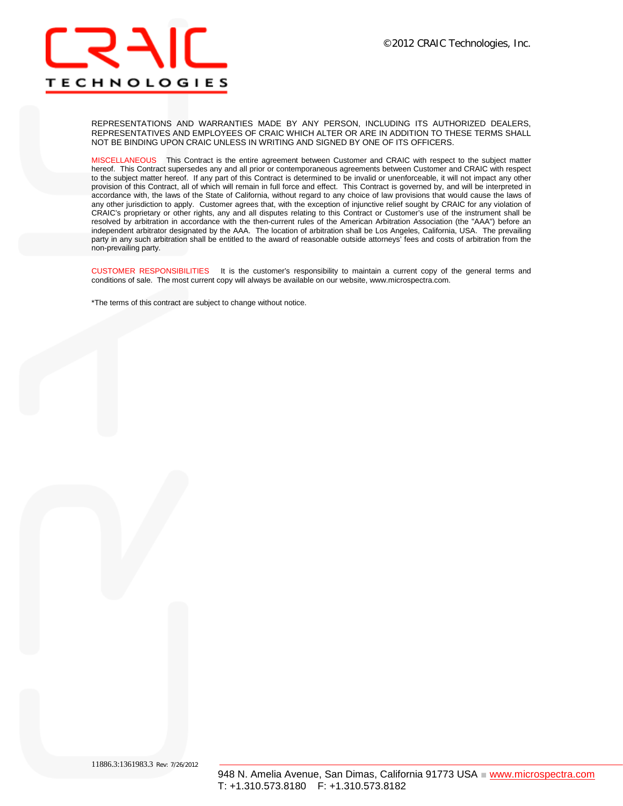

REPRESENTATIONS AND WARRANTIES MADE BY ANY PERSON, INCLUDING ITS AUTHORIZED DEALERS, REPRESENTATIVES AND EMPLOYEES OF CRAIC WHICH ALTER OR ARE IN ADDITION TO THESE TERMS SHALL NOT BE BINDING UPON CRAIC UNLESS IN WRITING AND SIGNED BY ONE OF ITS OFFICERS.

MISCELLANEOUSThis Contract is the entire agreement between Customer and CRAIC with respect to the subject matter hereof. This Contract supersedes any and all prior or contemporaneous agreements between Customer and CRAIC with respect to the subject matter hereof. If any part of this Contract is determined to be invalid or unenforceable, it will not impact any other provision of this Contract, all of which will remain in full force and effect. This Contract is governed by, and will be interpreted in accordance with, the laws of the State of California, without regard to any choice of law provisions that would cause the laws of any other jurisdiction to apply. Customer agrees that, with the exception of injunctive relief sought by CRAIC for any violation of CRAIC's proprietary or other rights, any and all disputes relating to this Contract or Customer's use of the instrument shall be resolved by arbitration in accordance with the then-current rules of the American Arbitration Association (the "AAA") before an independent arbitrator designated by the AAA. The location of arbitration shall be Los Angeles, California, USA. The prevailing party in any such arbitration shall be entitled to the award of reasonable outside attorneys' fees and costs of arbitration from the non-prevailing party.

CUSTOMER RESPONSIBILITIES It is the customer's responsibility to maintain a current copy of the general terms and conditions of sale. The most current copy will always be available on our website, www.microspectra.com.

\*The terms of this contract are subject to change without notice.